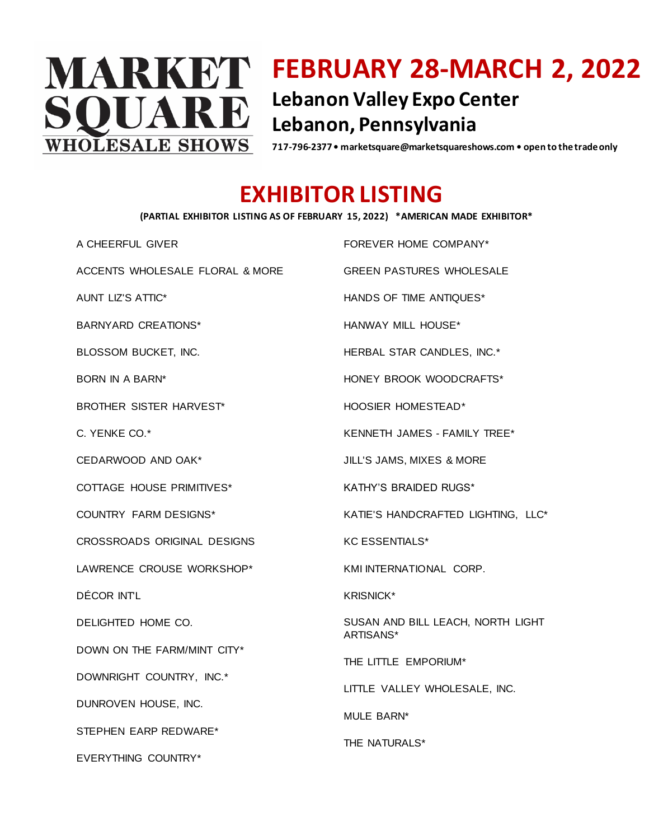

## **FEBRUARY 28-MARCH 2, 2022 Lebanon Valley Expo Center Lebanon, Pennsylvania**

**717-796-2377 • marketsquare@marketsquareshows.com • open to the trade only**

## **EXHIBITOR LISTING**

## **(PARTIAL EXHIBITOR LISTING AS OF FEBRUARY 15, 2022) \*AMERICAN MADE EXHIBITOR\***

A CHEERFUL GIVER

ACCENTS WHOLESALE FLORAL & MORE

AUNT LIZ'S ATTIC\*

BARNYARD CREATIONS\*

BLOSSOM BUCKET, INC.

BORN IN A BARN\*

BROTHER SISTER HARVEST\*

C. YENKE CO.\*

CEDARWOOD AND OAK\*

COTTAGE HOUSE PRIMITIVES\*

COUNTRY FARM DESIGNS\*

CROSSROADS ORIGINAL DESIGNS

LAWRENCE CROUSE WORKSHOP\*

DÉCOR INTL

DELIGHTED HOME CO.

DOWN ON THE FARM/MINT CITY\*

DOWNRIGHT COUNTRY, INC.\*

DUNROVEN HOUSE, INC.

STEPHEN EARP REDWARE\*

EVERYTHING COUNTRY\*

FOREVER HOME COMPANY\* GREEN PASTURES WHOLESALE HANDS OF TIME ANTIQUES\* HANWAY MILL HOUSE\* HERBAL STAR CANDLES, INC.\* HONEY BROOK WOODCRAFTS\* HOOSIER HOMESTEAD\* KENNETH JAMES - FAMILY TREE\* JILL'S JAMS, MIXES & MORE KATHY'S BRAIDED RUGS\* KATIE'S HANDCRAFTED LIGHTING, LLC\* KC ESSENTIALS\* KMI INTERNATIONAL CORP. KRISNICK\*

SUSAN AND BILL LEACH, NORTH LIGHT ARTISANS\*

THE LITTLE EMPORIUM\*

LITTLE VALLEY WHOLESALE, INC.

MULE BARN\*

THE NATURALS\*